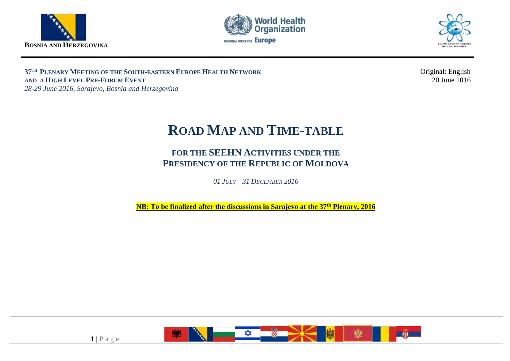





**37 TH PLENARY MEETING OF THE SOUTH-EASTERN EUROPE HEALTH NETWORK AND A HIGH LEVEL PRE-FORUM EVENT** *28-29 June 2016, Sarajevo, Bosnia and Herzegovina*

Original: English 20 June 2016

# <sup>4</sup> **ROAD MAP AND TIME-TABLE**

## 6 **FOR THE SEEHN ACTIVITIES UNDER THE**  7 **PRESIDENCY OF THE REPUBLIC OF MOLDOVA**

9 *01 JULY – 31 DECEMBER 2016*

**NB: To be finalized after the discussions in Sarajevo at the 37<sup>th</sup> Plenary, 2016** 



 $1$  | P a g e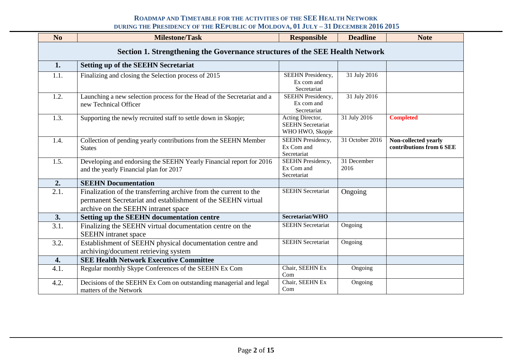| N <sub>o</sub>                                                               | <b>Milestone/Task</b>                                                                                                                                                   | <b>Responsible</b>                                              | <b>Deadline</b>     | <b>Note</b>                                      |  |  |  |  |
|------------------------------------------------------------------------------|-------------------------------------------------------------------------------------------------------------------------------------------------------------------------|-----------------------------------------------------------------|---------------------|--------------------------------------------------|--|--|--|--|
| Section 1. Strengthening the Governance structures of the SEE Health Network |                                                                                                                                                                         |                                                                 |                     |                                                  |  |  |  |  |
| 1.                                                                           | <b>Setting up of the SEEHN Secretariat</b>                                                                                                                              |                                                                 |                     |                                                  |  |  |  |  |
| 1.1.                                                                         | Finalizing and closing the Selection process of 2015                                                                                                                    | SEEHN Presidency,<br>Ex com and<br>Secretariat                  | 31 July 2016        |                                                  |  |  |  |  |
| 1.2.                                                                         | Launching a new selection process for the Head of the Secretariat and a<br>new Technical Officer                                                                        | SEEHN Presidency,<br>Ex com and<br>Secretariat                  | 31 July 2016        |                                                  |  |  |  |  |
| 1.3.                                                                         | Supporting the newly recruited staff to settle down in Skopje;                                                                                                          | Acting Director,<br><b>SEEHN Secretariat</b><br>WHO HWO, Skopje | 31 July 2016        | <b>Completed</b>                                 |  |  |  |  |
| 1.4.                                                                         | Collection of pending yearly contributions from the SEEHN Member<br><b>States</b>                                                                                       | <b>SEEHN</b> Presidency,<br>Ex Com and<br>Secretariat           | 31 October 2016     | Non-collected yearly<br>contributions from 6 SEE |  |  |  |  |
| 1.5.                                                                         | Developing and endorsing the SEEHN Yearly Financial report for 2016<br>and the yearly Financial plan for 2017                                                           | <b>SEEHN</b> Presidency,<br>Ex Com and<br>Secretariat           | 31 December<br>2016 |                                                  |  |  |  |  |
| 2.                                                                           | <b>SEEHN Documentation</b>                                                                                                                                              |                                                                 |                     |                                                  |  |  |  |  |
| 2.1.                                                                         | Finalization of the transferring archive from the current to the<br>permanent Secretariat and establishment of the SEEHN virtual<br>archive on the SEEHN intranet space | <b>SEEHN Secretariat</b>                                        | Ongoing             |                                                  |  |  |  |  |
| 3.                                                                           | Setting up the SEEHN documentation centre                                                                                                                               | Secretariat/WHO                                                 |                     |                                                  |  |  |  |  |
| 3.1.                                                                         | Finalizing the SEEHN virtual documentation centre on the<br>SEEHN intranet space                                                                                        | <b>SEEHN Secretariat</b>                                        | Ongoing             |                                                  |  |  |  |  |
| 3.2.                                                                         | Establishment of SEEHN physical documentation centre and<br>archiving/document retrieving system                                                                        | <b>SEEHN</b> Secretariat                                        | Ongoing             |                                                  |  |  |  |  |
| 4.                                                                           | <b>SEE Health Network Executive Committee</b>                                                                                                                           |                                                                 |                     |                                                  |  |  |  |  |
| 4.1.                                                                         | Regular monthly Skype Conferences of the SEEHN Ex Com                                                                                                                   | Chair, SEEHN Ex<br>Com                                          | Ongoing             |                                                  |  |  |  |  |
| 4.2.                                                                         | Decisions of the SEEHN Ex Com on outstanding managerial and legal<br>matters of the Network                                                                             | Chair, SEEHN Ex<br>Com                                          | Ongoing             |                                                  |  |  |  |  |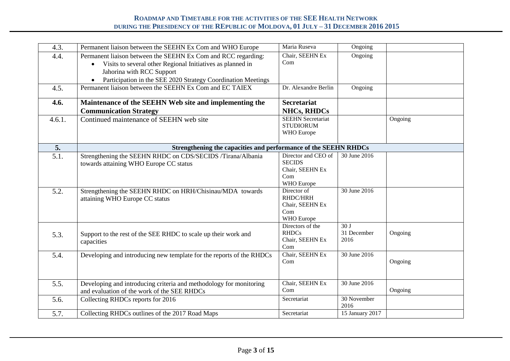| 4.3.   | Permanent liaison between the SEEHN Ex Com and WHO Europe                                                                                                                                                                | Maria Ruseva                                                                 | Ongoing                    |         |
|--------|--------------------------------------------------------------------------------------------------------------------------------------------------------------------------------------------------------------------------|------------------------------------------------------------------------------|----------------------------|---------|
| 4.4.   | Permanent liaison between the SEEHN Ex Com and RCC regarding:<br>Visits to several other Regional Initiatives as planned in<br>Jahorina with RCC Support<br>Participation in the SEE 2020 Strategy Coordination Meetings | Chair, SEEHN Ex<br>Com                                                       | Ongoing                    |         |
| 4.5.   | Permanent liaison between the SEEHN Ex Com and EC TAIEX                                                                                                                                                                  | Dr. Alexandre Berlin                                                         | Ongoing                    |         |
| 4.6.   | Maintenance of the SEEHN Web site and implementing the<br><b>Communication Strategy</b>                                                                                                                                  | <b>Secretariat</b><br><b>NHCs, RHDCs</b>                                     |                            |         |
| 4.6.1. | Continued maintenance of SEEHN web site                                                                                                                                                                                  | <b>SEEHN Secretariat</b><br><b>STUDIORUM</b><br>WHO Europe                   |                            | Ongoing |
| 5.     | Strengthening the capacities and performance of the SEEHN RHDCs                                                                                                                                                          |                                                                              |                            |         |
| 5.1.   | Strengthening the SEEHN RHDC on CDS/SECIDS /Tirana/Albania<br>towards attaining WHO Europe CC status                                                                                                                     | Director and CEO of<br><b>SECIDS</b><br>Chair, SEEHN Ex<br>Com<br>WHO Europe | 30 June 2016               |         |
| 5.2.   | Strengthening the SEEHN RHDC on HRH/Chisinau/MDA towards<br>attaining WHO Europe CC status                                                                                                                               | Director of<br>RHDC/HRH<br>Chair, SEEHN Ex<br>Com<br>WHO Europe              | 30 June 2016               |         |
| 5.3.   | Support to the rest of the SEE RHDC to scale up their work and<br>capacities                                                                                                                                             | Directors of the<br><b>RHDCs</b><br>Chair, SEEHN Ex<br>Com                   | 30J<br>31 December<br>2016 | Ongoing |
| 5.4.   | Developing and introducing new template for the reports of the RHDCs                                                                                                                                                     | Chair, SEEHN Ex<br>Com                                                       | 30 June 2016               | Ongoing |
| 5.5.   | Developing and introducing criteria and methodology for monitoring<br>and evaluation of the work of the SEE RHDCs                                                                                                        | Chair, SEEHN Ex<br>Com                                                       | 30 June 2016               | Ongoing |
| 5.6.   | Collecting RHDCs reports for 2016                                                                                                                                                                                        | Secretariat                                                                  | 30 November<br>2016        |         |
| 5.7.   | Collecting RHDCs outlines of the 2017 Road Maps                                                                                                                                                                          | Secretariat                                                                  | 15 January 2017            |         |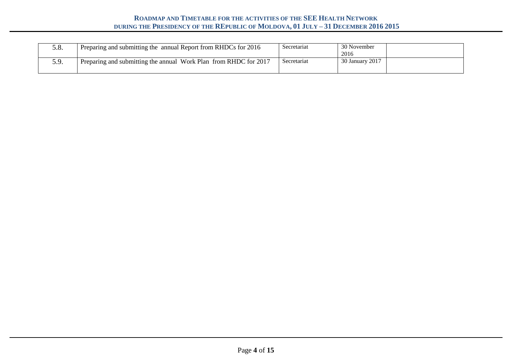| J.O. | Preparing and submitting the annual Report from RHDCs for 2016   | Secretariat | 30 November<br>2016 |
|------|------------------------------------------------------------------|-------------|---------------------|
| J.J. | Preparing and submitting the annual Work Plan from RHDC for 2017 | Secretariat | 30 January 2017     |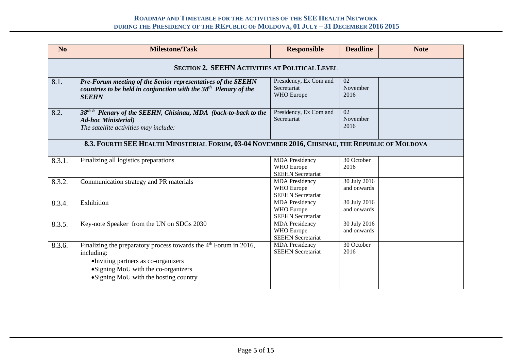| N <sub>0</sub> | <b>Milestone/Task</b>                                                                                                                                                                                    | <b>Responsible</b>                                                     | <b>Deadline</b>                     | <b>Note</b> |  |  |  |  |
|----------------|----------------------------------------------------------------------------------------------------------------------------------------------------------------------------------------------------------|------------------------------------------------------------------------|-------------------------------------|-------------|--|--|--|--|
|                | SECTION 2. SEEHN ACTIVITIES AT POLITICAL LEVEL                                                                                                                                                           |                                                                        |                                     |             |  |  |  |  |
| 8.1.           | Pre-Forum meeting of the Senior representatives of the SEEHN<br>countries to be held in conjunction with the $38th$ Plenary of the<br><b>SEEHN</b>                                                       | Presidency, Ex Com and<br>Secretariat<br><b>WHO</b> Europe             | 02<br>November<br>2016              |             |  |  |  |  |
| 8.2.           | 38 <sup>th h</sup> Plenary of the SEEHN, Chisinau, MDA (back-to-back to the<br><b>Ad-hoc Ministerial</b> )<br>The satellite activities may include:                                                      | Presidency, Ex Com and<br>Secretariat                                  | $\overline{02}$<br>November<br>2016 |             |  |  |  |  |
|                | 8.3. FOURTH SEE HEALTH MINISTERIAL FORUM, 03-04 NOVEMBER 2016, CHISINAU, THE REPUBLIC OF MOLDOVA                                                                                                         |                                                                        |                                     |             |  |  |  |  |
| 8.3.1.         | Finalizing all logistics preparations                                                                                                                                                                    | <b>MDA</b> Presidency<br><b>WHO</b> Europe<br><b>SEEHN</b> Secretariat | 30 October<br>2016                  |             |  |  |  |  |
| 8.3.2.         | Communication strategy and PR materials                                                                                                                                                                  | <b>MDA</b> Presidency<br>WHO Europe<br><b>SEEHN</b> Secretariat        | 30 July 2016<br>and onwards         |             |  |  |  |  |
| 8.3.4.         | Exhibition                                                                                                                                                                                               | <b>MDA</b> Presidency<br>WHO Europe<br><b>SEEHN</b> Secretariat        | 30 July 2016<br>and onwards         |             |  |  |  |  |
| 8.3.5.         | Key-note Speaker from the UN on SDGs 2030                                                                                                                                                                | <b>MDA</b> Presidency<br><b>WHO</b> Europe<br><b>SEEHN</b> Secretariat | 30 July 2016<br>and onwards         |             |  |  |  |  |
| 8.3.6.         | Finalizing the preparatory process towards the $4th$ Forum in 2016,<br>including:<br>•Inviting partners as co-organizers<br>•Signing MoU with the co-organizers<br>•Signing MoU with the hosting country | <b>MDA</b> Presidency<br><b>SEEHN</b> Secretariat                      | 30 October<br>2016                  |             |  |  |  |  |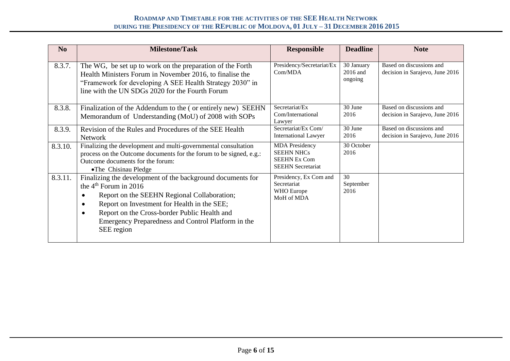| N <sub>o</sub> | <b>Milestone/Task</b>                                                                                                                                                                                                                                                                                                | <b>Responsible</b>                                                                            | <b>Deadline</b>                   | <b>Note</b>                                                 |
|----------------|----------------------------------------------------------------------------------------------------------------------------------------------------------------------------------------------------------------------------------------------------------------------------------------------------------------------|-----------------------------------------------------------------------------------------------|-----------------------------------|-------------------------------------------------------------|
| 8.3.7.         | The WG, be set up to work on the preparation of the Forth<br>Health Ministers Forum in November 2016, to finalise the<br>"Framework for developing A SEE Health Strategy 2030" in<br>line with the UN SDGs 2020 for the Fourth Forum                                                                                 | Presidency/Secretariat/Ex<br>Com/MDA                                                          | 30 January<br>2016 and<br>ongoing | Based on discussions and<br>decision in Sarajevo, June 2016 |
| 8.3.8.         | Finalization of the Addendum to the (or entirely new) SEEHN<br>Memorandum of Understanding (MoU) of 2008 with SOPs                                                                                                                                                                                                   | Secretariat/Ex<br>Com/International<br>Lawyer                                                 | $\overline{30}$ June<br>2016      | Based on discussions and<br>decision in Sarajevo, June 2016 |
| 8.3.9.         | Revision of the Rules and Procedures of the SEE Health<br><b>Network</b>                                                                                                                                                                                                                                             | Secretariat/Ex Com/<br><b>International Lawyer</b>                                            | 30 June<br>2016                   | Based on discussions and<br>decision in Sarajevo, June 2016 |
| 8.3.10.        | Finalizing the development and multi-governmental consultation<br>process on the Outcome documents for the forum to be signed, e.g.:<br>Outcome documents for the forum:<br>•The Chisinau Pledge                                                                                                                     | <b>MDA</b> Presidency<br><b>SEEHN NHCs</b><br><b>SEEHN Ex Com</b><br><b>SEEHN</b> Secretariat | 30 October<br>2016                |                                                             |
| 8.3.11.        | Finalizing the development of the background documents for<br>the $4th$ Forum in 2016<br>Report on the SEEHN Regional Collaboration;<br>Report on Investment for Health in the SEE;<br>Report on the Cross-border Public Health and<br>$\bullet$<br>Emergency Preparedness and Control Platform in the<br>SEE region | Presidency, Ex Com and<br>Secretariat<br>WHO Europe<br>MoH of MDA                             | 30<br>September<br>2016           |                                                             |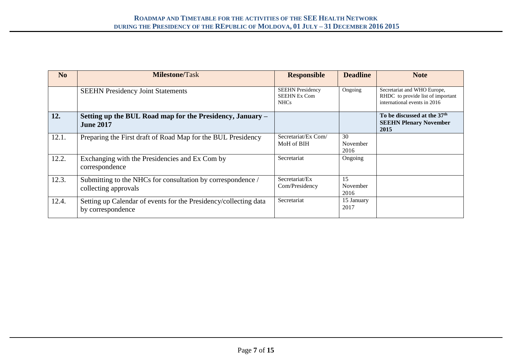| N <sub>o</sub> | <b>Milestone/Task</b>                                                                 | <b>Responsible</b>                                            | <b>Deadline</b>        | <b>Note</b>                                                                                      |
|----------------|---------------------------------------------------------------------------------------|---------------------------------------------------------------|------------------------|--------------------------------------------------------------------------------------------------|
|                | <b>SEEHN Presidency Joint Statements</b>                                              | <b>SEEHN Presidency</b><br><b>SEEHN Ex Com</b><br><b>NHCs</b> | Ongoing                | Secretariat and WHO Europe,<br>RHDC to provide list of important<br>international events in 2016 |
| 12.            | Setting up the BUL Road map for the Presidency, January –<br><b>June 2017</b>         |                                                               |                        | To be discussed at the 37 <sup>th</sup><br><b>SEEHN Plenary November</b><br>2015                 |
| 12.1.          | Preparing the First draft of Road Map for the BUL Presidency                          | Secretariat/Ex Com/<br>MoH of BIH                             | 30<br>November<br>2016 |                                                                                                  |
| 12.2.          | Exchanging with the Presidencies and Ex Com by<br>correspondence                      | Secretariat                                                   | Ongoing                |                                                                                                  |
| 12.3.          | Submitting to the NHCs for consultation by correspondence /<br>collecting approvals   | Secretariat/Ex<br>Com/Presidency                              | 15<br>November<br>2016 |                                                                                                  |
| 12.4.          | Setting up Calendar of events for the Presidency/collecting data<br>by correspondence | Secretariat                                                   | 15 January<br>2017     |                                                                                                  |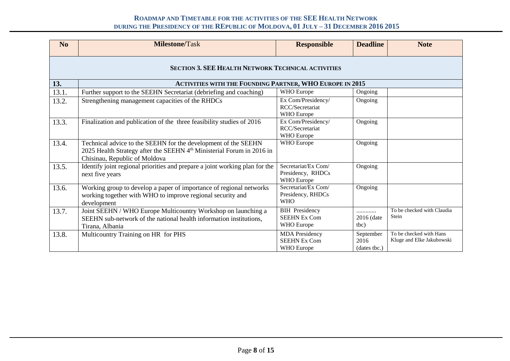| No    | <b>Milestone/Task</b>                                                                                                                                                                | <b>Responsible</b>                                         | <b>Deadline</b>                   | <b>Note</b>                                          |  |  |  |  |  |
|-------|--------------------------------------------------------------------------------------------------------------------------------------------------------------------------------------|------------------------------------------------------------|-----------------------------------|------------------------------------------------------|--|--|--|--|--|
|       | <b>SECTION 3. SEE HEALTH NETWORK TECHNICAL ACTIVITIES</b>                                                                                                                            |                                                            |                                   |                                                      |  |  |  |  |  |
| 13.   | <b>ACTIVITIES WITH THE FOUNDING PARTNER, WHO EUROPE IN 2015</b>                                                                                                                      |                                                            |                                   |                                                      |  |  |  |  |  |
| 13.1. | WHO Europe<br>Further support to the SEEHN Secretariat (debriefing and coaching)<br>Ongoing                                                                                          |                                                            |                                   |                                                      |  |  |  |  |  |
| 13.2. | Strengthening management capacities of the RHDCs                                                                                                                                     | Ex Com/Presidency/<br>RCC/Secretariat<br>WHO Europe        | Ongoing                           |                                                      |  |  |  |  |  |
| 13.3. | Finalization and publication of the three feasibility studies of 2016                                                                                                                | Ex Com/Presidency/<br>RCC/Secretariat<br>WHO Europe        | Ongoing                           |                                                      |  |  |  |  |  |
| 13.4. | Technical advice to the SEEHN for the development of the SEEHN<br>2025 Health Strategy after the SEEHN 4 <sup>th</sup> Ministerial Forum in 2016 in<br>Chisinau, Republic of Moldova | WHO Europe                                                 | Ongoing                           |                                                      |  |  |  |  |  |
| 13.5. | Identify joint regional priorities and prepare a joint working plan for the<br>next five years                                                                                       | Secretariat/Ex Com/<br>Presidency, RHDCs<br>WHO Europe     | Ongoing                           |                                                      |  |  |  |  |  |
| 13.6. | Working group to develop a paper of importance of regional networks<br>working together with WHO to improve regional security and<br>development                                     | Secretariat/Ex Com/<br>Presidency, RHDCs<br><b>WHO</b>     | Ongoing                           |                                                      |  |  |  |  |  |
| 13.7. | Joint SEEHN / WHO Europe Multicountry Workshop on launching a<br>SEEHN sub-network of the national health information institutions,<br>Tirana, Albania                               | <b>BIH</b> Presidency<br><b>SEEHN Ex Com</b><br>WHO Europe | <br>$2016$ (date<br>(tbc          | To be checked with Claudia<br>Stein                  |  |  |  |  |  |
| 13.8. | Multicountry Training on HR for PHS                                                                                                                                                  | <b>MDA</b> Presidency<br><b>SEEHN Ex Com</b><br>WHO Europe | September<br>2016<br>(dates tbc.) | To be checked with Hans<br>Kluge and Elke Jakubowski |  |  |  |  |  |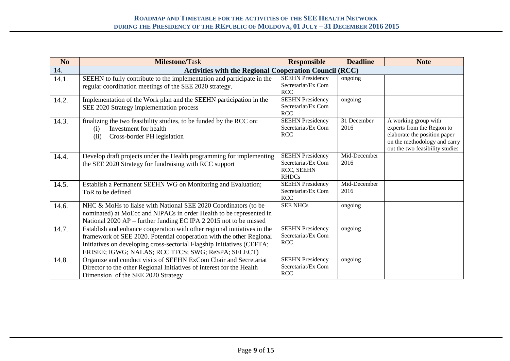| N <sub>o</sub> | <b>Milestone/Task</b>                                                                                                                                                                                                                                                            | <b>Responsible</b>                                                          | <b>Deadline</b>      | <b>Note</b>                                                                                                                                           |
|----------------|----------------------------------------------------------------------------------------------------------------------------------------------------------------------------------------------------------------------------------------------------------------------------------|-----------------------------------------------------------------------------|----------------------|-------------------------------------------------------------------------------------------------------------------------------------------------------|
| 14.            | <b>Activities with the Regional Cooperation Council (RCC)</b>                                                                                                                                                                                                                    |                                                                             |                      |                                                                                                                                                       |
| 14.1.          | SEEHN to fully contribute to the implementation and participate in the<br>regular coordination meetings of the SEE 2020 strategy.                                                                                                                                                | <b>SEEHN Presidency</b><br>Secretariat/Ex Com<br><b>RCC</b>                 | ongoing              |                                                                                                                                                       |
| 14.2.          | Implementation of the Work plan and the SEEHN participation in the<br>SEE 2020 Strategy implementation process                                                                                                                                                                   | <b>SEEHN Presidency</b><br>Secretariat/Ex Com<br><b>RCC</b>                 | ongoing              |                                                                                                                                                       |
| 14.3.          | finalizing the two feasibility studies, to be funded by the RCC on:<br>Investment for health<br>(i)<br>Cross-border PH legislation<br>(ii)                                                                                                                                       | <b>SEEHN Presidency</b><br>Secretariat/Ex Com<br><b>RCC</b>                 | 31 December<br>2016  | A working group with<br>experts from the Region to<br>elaborate the position paper<br>on the methodology and carry<br>out the two feasibility studies |
| 14.4.          | Develop draft projects under the Health programming for implementing<br>the SEE 2020 Strategy for fundraising with RCC support                                                                                                                                                   | <b>SEEHN</b> Presidency<br>Secretariat/Ex Com<br>RCC, SEEHN<br><b>RHDCs</b> | Mid-December<br>2016 |                                                                                                                                                       |
| 14.5.          | Establish a Permanent SEEHN WG on Monitoring and Evaluation;<br>ToR to be defined                                                                                                                                                                                                | <b>SEEHN Presidency</b><br>Secretariat/Ex Com<br><b>RCC</b>                 | Mid-December<br>2016 |                                                                                                                                                       |
| 14.6.          | NHC & MoHs to liaise with National SEE 2020 Coordinators (to be<br>nominated) at MoEcc and NIPACs in order Health to be represented in<br>National 2020 AP – further funding EC IPA 2 2015 not to be missed                                                                      | <b>SEE NHCs</b>                                                             | ongoing              |                                                                                                                                                       |
| 14.7.          | Establish and enhance cooperation with other regional initiatives in the<br>framework of SEE 2020. Potential cooperation with the other Regional<br>Initiatives on developing cross-sectorial Flagship Initiatives (CEFTA;<br>ERISEE; IGWG; NALAS; RCC TFCS; SWG; ReSPA; SELECT) | <b>SEEHN Presidency</b><br>Secretariat/Ex Com<br><b>RCC</b>                 | ongoing              |                                                                                                                                                       |
| 14.8.          | Organize and conduct visits of SEEHN ExCom Chair and Secretariat<br>Director to the other Regional Initiatives of interest for the Health<br>Dimension of the SEE 2020 Strategy                                                                                                  | <b>SEEHN Presidency</b><br>Secretariat/Ex Com<br><b>RCC</b>                 | ongoing              |                                                                                                                                                       |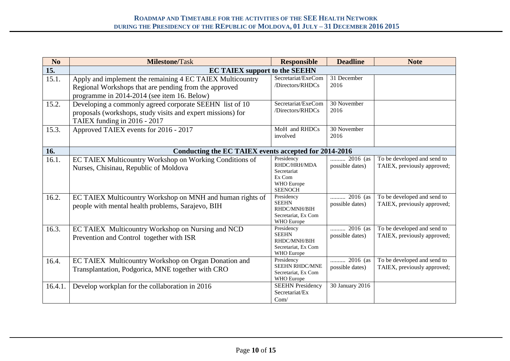| No                | <b>Milestone/Task</b>                                                                                                                                             | <b>Responsible</b>                                                                  | <b>Deadline</b>               | <b>Note</b>                                                |
|-------------------|-------------------------------------------------------------------------------------------------------------------------------------------------------------------|-------------------------------------------------------------------------------------|-------------------------------|------------------------------------------------------------|
| $\overline{15}$ . | <b>EC TAIEX support to the SEEHN</b>                                                                                                                              |                                                                                     |                               |                                                            |
| 15.1.             | Apply and implement the remaining 4 EC TAIEX Multicountry<br>Regional Workshops that are pending from the approved<br>programme in 2014-2014 (see item 16. Below) | Secretariat/ExeCom<br>/Directors/RHDCs                                              | 31 December<br>2016           |                                                            |
| 15.2.             | Developing a commonly agreed corporate SEEHN list of 10<br>proposals (workshops, study visits and expert missions) for<br>TAIEX funding in 2016 - 2017            | Secretariat/ExeCom<br>/Directors/RHDCs                                              | 30 November<br>2016           |                                                            |
| 15.3.             | Approved TAIEX events for 2016 - 2017                                                                                                                             | MoH and RHDCs<br>involved                                                           | 30 November<br>2016           |                                                            |
| 16.               | Conducting the EC TAIEX events accepted for 2014-2016                                                                                                             |                                                                                     |                               |                                                            |
| 16.1.             | EC TAIEX Multicountry Workshop on Working Conditions of<br>Nurses, Chisinau, Republic of Moldova                                                                  | Presidency<br>RHDC/HRH/MDA<br>Secretariat<br>Ex Com<br>WHO Europe<br><b>SEENOCH</b> | 2016 (as<br>possible dates)   | To be developed and send to<br>TAIEX, previously approved; |
| 16.2.             | EC TAIEX Multicountry Workshop on MNH and human rights of<br>people with mental health problems, Sarajevo, BIH                                                    | Presidency<br><b>SEEHN</b><br>RHDC/MNH/BIH<br>Secretariat, Ex Com<br>WHO Europe     | $2016$ (as<br>possible dates) | To be developed and send to<br>TAIEX, previously approved; |
| 16.3.             | EC TAIEX Multicountry Workshop on Nursing and NCD<br>Prevention and Control together with ISR                                                                     | Presidency<br><b>SEEHN</b><br>RHDC/MNH/BIH<br>Secretariat, Ex Com<br>WHO Europe     | 2016 (as<br>possible dates)   | To be developed and send to<br>TAIEX, previously approved; |
| 16.4.             | EC TAIEX Multicountry Workshop on Organ Donation and<br>Transplantation, Podgorica, MNE together with CRO                                                         | Presidency<br><b>SEEHN RHDC/MNE</b><br>Secretariat, Ex Com<br>WHO Europe            | 2016 (as<br>possible dates)   | To be developed and send to<br>TAIEX, previously approved; |
| 16.4.1.           | Develop workplan for the collaboration in 2016                                                                                                                    | <b>SEEHN Presidency</b><br>Secretariat/Ex<br>Com/                                   | 30 January 2016               |                                                            |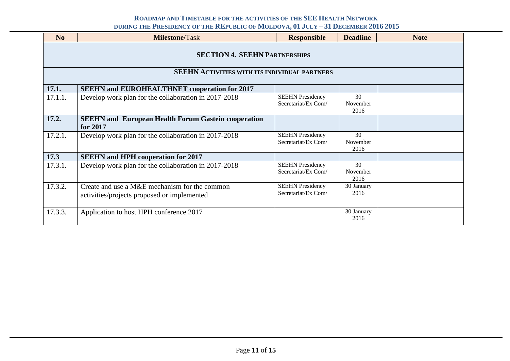| N <sub>0</sub>                                                                               | <b>Milestone/Task</b>                                                                        | <b>Responsible</b>                             | <b>Deadline</b>        | <b>Note</b> |  |  |
|----------------------------------------------------------------------------------------------|----------------------------------------------------------------------------------------------|------------------------------------------------|------------------------|-------------|--|--|
| <b>SECTION 4. SEEHN PARTNERSHIPS</b><br><b>SEEHN ACTIVITIES WITH ITS INDIVIDUAL PARTNERS</b> |                                                                                              |                                                |                        |             |  |  |
|                                                                                              |                                                                                              |                                                |                        |             |  |  |
| 17.1.                                                                                        | <b>SEEHN and EUROHEALTHNET cooperation for 2017</b>                                          |                                                |                        |             |  |  |
| 17.1.1.                                                                                      | Develop work plan for the collaboration in 2017-2018                                         | <b>SEEHN Presidency</b><br>Secretariat/Ex Com/ | 30<br>November<br>2016 |             |  |  |
| 17.2.                                                                                        | <b>SEEHN</b> and European Health Forum Gastein cooperation<br>for 2017                       |                                                |                        |             |  |  |
| 17.2.1.                                                                                      | Develop work plan for the collaboration in 2017-2018                                         | <b>SEEHN Presidency</b><br>Secretariat/Ex Com/ | 30<br>November<br>2016 |             |  |  |
| 17.3                                                                                         | <b>SEEHN</b> and HPH cooperation for 2017                                                    |                                                |                        |             |  |  |
| 17.3.1.                                                                                      | Develop work plan for the collaboration in 2017-2018                                         | <b>SEEHN Presidency</b><br>Secretariat/Ex Com/ | 30<br>November<br>2016 |             |  |  |
| 17.3.2.                                                                                      | Create and use a M&E mechanism for the common<br>activities/projects proposed or implemented | <b>SEEHN Presidency</b><br>Secretariat/Ex Com/ | 30 January<br>2016     |             |  |  |
| 17.3.3.                                                                                      | Application to host HPH conference 2017                                                      |                                                | 30 January<br>2016     |             |  |  |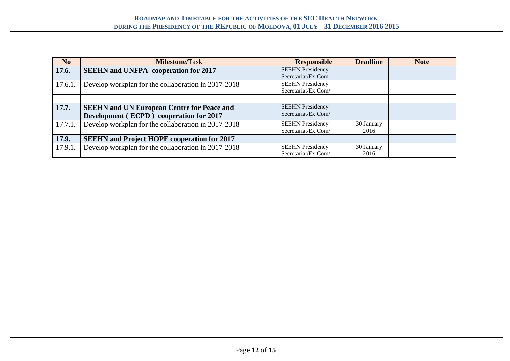| N <sub>0</sub> | <b>Milestone/Task</b>                               | <b>Responsible</b>      | <b>Deadline</b> | <b>Note</b> |
|----------------|-----------------------------------------------------|-------------------------|-----------------|-------------|
| 17.6.          | <b>SEEHN</b> and UNFPA cooperation for 2017         | <b>SEEHN Presidency</b> |                 |             |
|                |                                                     | Secretariat/Ex Com      |                 |             |
| 17.6.1.        | Develop workplan for the collaboration in 2017-2018 | <b>SEEHN Presidency</b> |                 |             |
|                |                                                     | Secretariat/Ex Com/     |                 |             |
|                |                                                     |                         |                 |             |
| 17.7.          | <b>SEEHN and UN European Centre for Peace and</b>   | <b>SEEHN Presidency</b> |                 |             |
|                | Development (ECPD) cooperation for 2017             | Secretariat/Ex Com/     |                 |             |
| 17.7.1.        | Develop workplan for the collaboration in 2017-2018 | <b>SEEHN Presidency</b> | 30 January      |             |
|                |                                                     | Secretariat/Ex Com/     | 2016            |             |
| 17.9.          | <b>SEEHN</b> and Project HOPE cooperation for 2017  |                         |                 |             |
| 17.9.1.        | Develop workplan for the collaboration in 2017-2018 | <b>SEEHN Presidency</b> | 30 January      |             |
|                |                                                     | Secretariat/Ex Com/     | 2016            |             |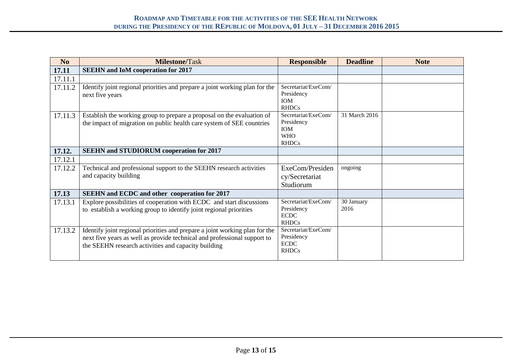| No      | <b>Milestone/Task</b>                                                                                                                                                                                          | <b>Responsible</b>                                                            | <b>Deadline</b>    | <b>Note</b> |
|---------|----------------------------------------------------------------------------------------------------------------------------------------------------------------------------------------------------------------|-------------------------------------------------------------------------------|--------------------|-------------|
| 17.11   | <b>SEEHN</b> and IoM cooperation for 2017                                                                                                                                                                      |                                                                               |                    |             |
| 17.11.1 |                                                                                                                                                                                                                |                                                                               |                    |             |
| 17.11.2 | Identify joint regional priorities and prepare a joint working plan for the<br>next five years                                                                                                                 | Secretariat/ExeCom/<br>Presidency<br><b>IOM</b><br><b>RHDCs</b>               |                    |             |
| 17.11.3 | Establish the working group to prepare a proposal on the evaluation of<br>the impact of migration on public health care system of SEE countries                                                                | Secretariat/ExeCom/<br>Presidency<br><b>IOM</b><br><b>WHO</b><br><b>RHDCs</b> | 31 March 2016      |             |
| 17.12.  | <b>SEEHN and STUDIORUM cooperation for 2017</b>                                                                                                                                                                |                                                                               |                    |             |
| 17.12.1 |                                                                                                                                                                                                                |                                                                               |                    |             |
| 17.12.2 | Technical and professional support to the SEEHN research activities<br>and capacity building                                                                                                                   | ExeCom/Presiden<br>cy/Secretariat<br>Studiorum                                | ongoing            |             |
| 17.13   | <b>SEEHN</b> and ECDC and other cooperation for 2017                                                                                                                                                           |                                                                               |                    |             |
| 17.13.1 | Explore possibilities of cooperation with ECDC and start discussions<br>to establish a working group to identify joint regional priorities                                                                     | Secretariat/ExeCom/<br>Presidency<br><b>ECDC</b><br><b>RHDCs</b>              | 30 January<br>2016 |             |
| 17.13.2 | Identify joint regional priorities and prepare a joint working plan for the<br>next five years as well as provide technical and professional support to<br>the SEEHN research activities and capacity building | Secretariat/ExeCom/<br>Presidency<br><b>ECDC</b><br><b>RHDCs</b>              |                    |             |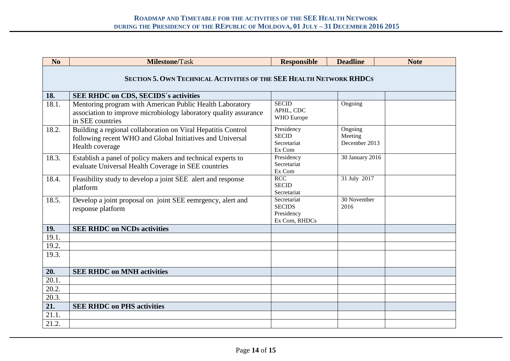| N <sub>0</sub>                                                             | <b>Milestone/Task</b>                                                                                                                            | <b>Responsible</b>                                          | <b>Deadline</b>                     | <b>Note</b> |  |  |  |  |  |  |
|----------------------------------------------------------------------------|--------------------------------------------------------------------------------------------------------------------------------------------------|-------------------------------------------------------------|-------------------------------------|-------------|--|--|--|--|--|--|
| <b>SECTION 5. OWN TECHNICAL ACTIVITIES OF THE SEE HEALTH NETWORK RHDCS</b> |                                                                                                                                                  |                                                             |                                     |             |  |  |  |  |  |  |
| 18.                                                                        | <b>SEE RHDC on CDS, SECIDS's activities</b>                                                                                                      |                                                             |                                     |             |  |  |  |  |  |  |
| 18.1.                                                                      | Mentoring program with American Public Health Laboratory<br>association to improve microbiology laboratory quality assurance<br>in SEE countries | <b>SECID</b><br>APHL, CDC<br>WHO Europe                     | Ongoing                             |             |  |  |  |  |  |  |
| 18.2.                                                                      | Building a regional collaboration on Viral Hepatitis Control<br>following recent WHO and Global Initiatives and Universal<br>Health coverage     | Presidency<br><b>SECID</b><br>Secretariat<br>Ex Com         | Ongoing<br>Meeting<br>December 2013 |             |  |  |  |  |  |  |
| 18.3.                                                                      | Establish a panel of policy makers and technical experts to<br>evaluate Universal Health Coverage in SEE countries                               | Presidency<br>Secretariat<br>Ex Com                         | 30 January 2016                     |             |  |  |  |  |  |  |
| 18.4.                                                                      | Feasibility study to develop a joint SEE alert and response<br>platform                                                                          | RCC<br><b>SECID</b><br>Secretariat                          | 31 July 2017                        |             |  |  |  |  |  |  |
| 18.5.                                                                      | Develop a joint proposal on joint SEE eemrgency, alert and<br>response platform                                                                  | Secretariat<br><b>SECIDS</b><br>Presidency<br>Ex Com, RHDCs | 30 November<br>2016                 |             |  |  |  |  |  |  |
| 19.                                                                        | <b>SEE RHDC on NCDs activities</b>                                                                                                               |                                                             |                                     |             |  |  |  |  |  |  |
| 19.1.                                                                      |                                                                                                                                                  |                                                             |                                     |             |  |  |  |  |  |  |
| 19.2.                                                                      |                                                                                                                                                  |                                                             |                                     |             |  |  |  |  |  |  |
| 19.3.                                                                      |                                                                                                                                                  |                                                             |                                     |             |  |  |  |  |  |  |
| 20.                                                                        | <b>SEE RHDC on MNH activities</b>                                                                                                                |                                                             |                                     |             |  |  |  |  |  |  |
| 20.1.                                                                      |                                                                                                                                                  |                                                             |                                     |             |  |  |  |  |  |  |
| $\overline{20.2}$ .                                                        |                                                                                                                                                  |                                                             |                                     |             |  |  |  |  |  |  |
| 20.3.                                                                      |                                                                                                                                                  |                                                             |                                     |             |  |  |  |  |  |  |
| $\overline{21}$ .                                                          | <b>SEE RHDC on PHS activities</b>                                                                                                                |                                                             |                                     |             |  |  |  |  |  |  |
| 21.1.                                                                      |                                                                                                                                                  |                                                             |                                     |             |  |  |  |  |  |  |
| 21.2.                                                                      |                                                                                                                                                  |                                                             |                                     |             |  |  |  |  |  |  |